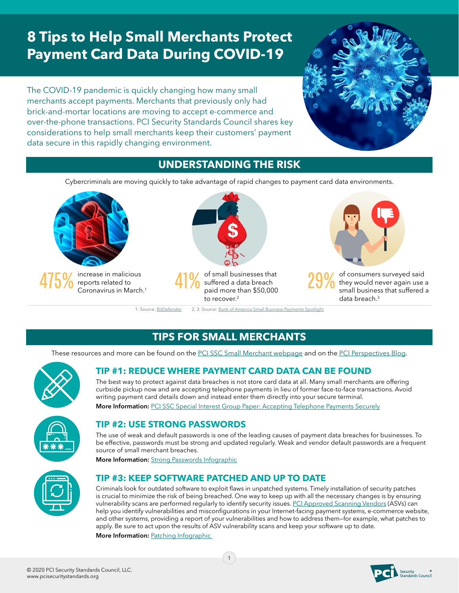# **8 Tips to Help Small Merchants Protect Payment Card Data During COVID-19**

The COVID-19 pandemic is quickly changing how many small merchants accept payments. Merchants that previously only had brick-and-mortar locations are moving to accept e-commerce and over-the-phone transactions. PCI Security Standards Council shares key considerations to help small merchants keep their customers' payment data secure in this rapidly changing environment.



### **UNDERSTANDING THE RISK**

Cybercriminals are moving quickly to take advantage of rapid changes to payment card data environments.



## **TIPS FOR SMALL MERCHANTS**

These resources and more can be found on the [PCI SSC Small Merchant webpage](https://www.pcisecuritystandards.org/merchants/) and on the [PCI Perspectives Blog](https://blog.pcisecuritystandards.org/).





### **TIP #1: REDUCE WHERE PAYMENT CARD DATA CAN BE FOUND**

The best way to protect against data breaches is not store card data at all. Many small merchants are offering curbside pickup now and are accepting telephone payments in lieu of former face-to-face transactions. Avoid writing payment card details down and instead enter them directly into your secure terminal.

**More Information:** [PCI SSC Special Interest Group Paper: Accepting Telephone Payments Securely](https://blog.pcisecuritystandards.org/industry-guidance-on-accepting-telephone-payments-securely)

#### **TIP #2: USE STRONG PASSWORDS**

The use of weak and default passwords is one of the leading causes of payment data breaches for businesses. To be effective, passwords must be strong and updated regularly. Weak and vendor default passwords are a frequent source of small merchant breaches.

**More Information:** [Strong Passwords Infographic](https://blog.pcisecuritystandards.org/infographic-strong-passwords)

#### **TIP #3: KEEP SOFTWARE PATCHED AND UP TO DATE**

Criminals look for outdated software to exploit flaws in unpatched systems. Timely installation of security patches is crucial to minimize the risk of being breached. One way to keep up with all the necessary changes is by ensuring vulnerability scans are performed regularly to identify security issues. [PCI Approved Scanning Vendors](https://www.pcisecuritystandards.org/assessors_and_solutions/approved_scanning_vendors) (ASVs) can help you identify vulnerabilities and misconfigurations in your Internet-facing payment systems, e-commerce website, and other systems, providing a report of your vulnerabilities and how to address them—for example, what patches to apply. Be sure to act upon the results of ASV vulnerability scans and keep your software up to date.

**More Information:** [Patching Infographic](https://blog.pcisecuritystandards.org/infographic-patching)